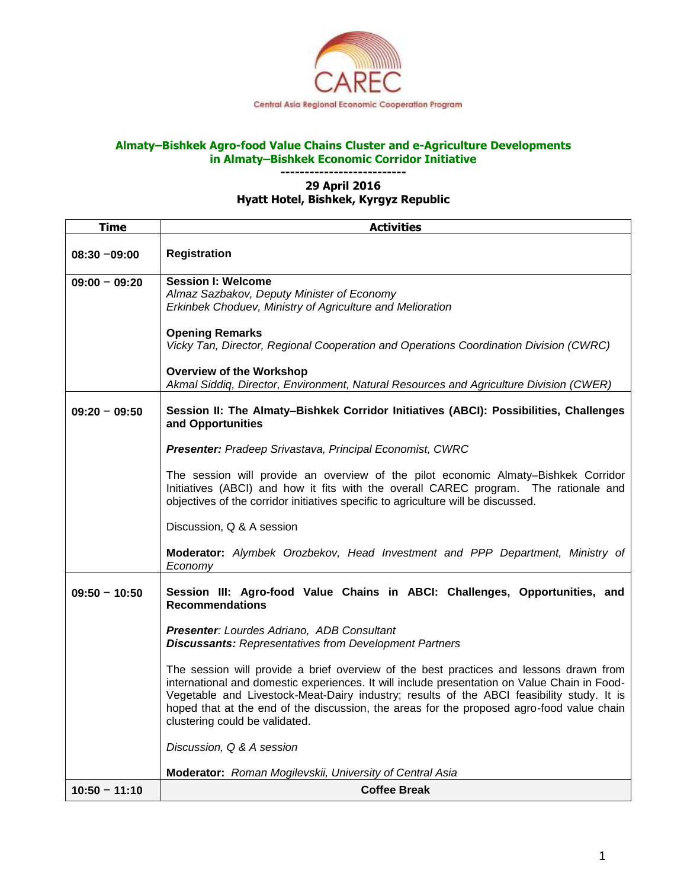

## **Almaty–Bishkek Agro-food Value Chains Cluster and e-Agriculture Developments in Almaty–Bishkek Economic Corridor Initiative**

## **-------------------------- 29 April 2016 Hyatt Hotel, Bishkek, Kyrgyz Republic**

| <b>Time</b>     | <b>Activities</b>                                                                                                                                                                                                                                                                                                                                                                                                  |
|-----------------|--------------------------------------------------------------------------------------------------------------------------------------------------------------------------------------------------------------------------------------------------------------------------------------------------------------------------------------------------------------------------------------------------------------------|
| $08:30 - 09:00$ | <b>Registration</b>                                                                                                                                                                                                                                                                                                                                                                                                |
| $09:00 - 09:20$ | <b>Session I: Welcome</b><br>Almaz Sazbakov, Deputy Minister of Economy<br>Erkinbek Choduev, Ministry of Agriculture and Melioration                                                                                                                                                                                                                                                                               |
|                 | <b>Opening Remarks</b><br>Vicky Tan, Director, Regional Cooperation and Operations Coordination Division (CWRC)                                                                                                                                                                                                                                                                                                    |
|                 | <b>Overview of the Workshop</b><br>Akmal Siddiq, Director, Environment, Natural Resources and Agriculture Division (CWER)                                                                                                                                                                                                                                                                                          |
| $09:20 - 09:50$ | Session II: The Almaty-Bishkek Corridor Initiatives (ABCI): Possibilities, Challenges<br>and Opportunities                                                                                                                                                                                                                                                                                                         |
|                 | Presenter: Pradeep Srivastava, Principal Economist, CWRC                                                                                                                                                                                                                                                                                                                                                           |
|                 | The session will provide an overview of the pilot economic Almaty-Bishkek Corridor<br>Initiatives (ABCI) and how it fits with the overall CAREC program. The rationale and<br>objectives of the corridor initiatives specific to agriculture will be discussed.                                                                                                                                                    |
|                 | Discussion, Q & A session                                                                                                                                                                                                                                                                                                                                                                                          |
|                 | Moderator: Alymbek Orozbekov, Head Investment and PPP Department, Ministry of<br>Economy                                                                                                                                                                                                                                                                                                                           |
| $09:50 - 10:50$ | Session III: Agro-food Value Chains in ABCI: Challenges, Opportunities, and<br><b>Recommendations</b>                                                                                                                                                                                                                                                                                                              |
|                 | Presenter: Lourdes Adriano, ADB Consultant<br><b>Discussants: Representatives from Development Partners</b>                                                                                                                                                                                                                                                                                                        |
|                 | The session will provide a brief overview of the best practices and lessons drawn from<br>international and domestic experiences. It will include presentation on Value Chain in Food-<br>Vegetable and Livestock-Meat-Dairy industry; results of the ABCI feasibility study. It is<br>hoped that at the end of the discussion, the areas for the proposed agro-food value chain<br>clustering could be validated. |
|                 | Discussion, Q & A session                                                                                                                                                                                                                                                                                                                                                                                          |
|                 | Moderator: Roman Mogilevskii, University of Central Asia                                                                                                                                                                                                                                                                                                                                                           |
| $10:50 - 11:10$ | <b>Coffee Break</b>                                                                                                                                                                                                                                                                                                                                                                                                |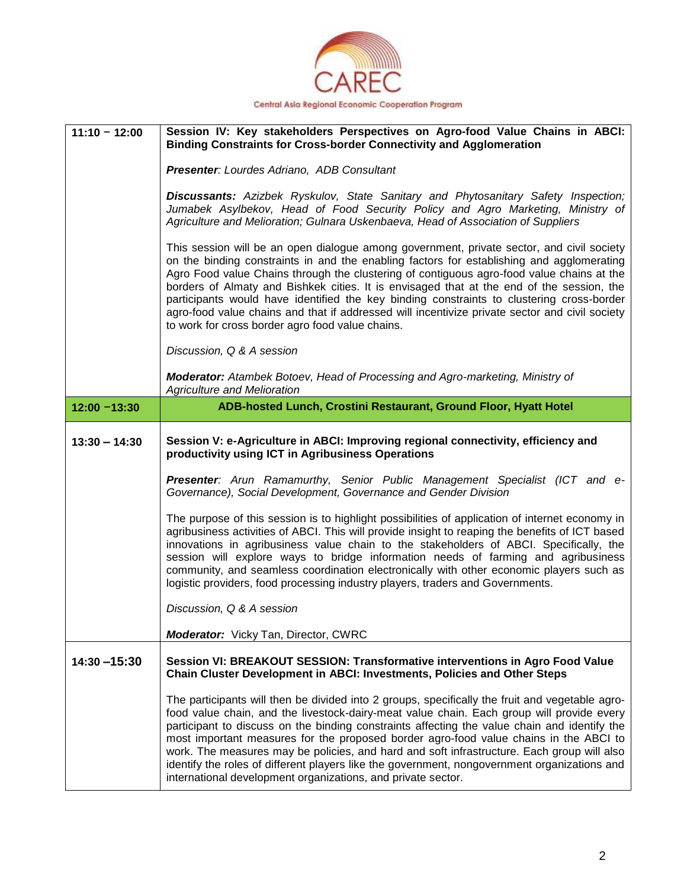

|                 | Session IV: Key stakeholders Perspectives on Agro-food Value Chains in ABCI:<br><b>Binding Constraints for Cross-border Connectivity and Agglomeration</b>                                                                                                                                                                                                                                                                                                                                                                                                                                                                          |
|-----------------|-------------------------------------------------------------------------------------------------------------------------------------------------------------------------------------------------------------------------------------------------------------------------------------------------------------------------------------------------------------------------------------------------------------------------------------------------------------------------------------------------------------------------------------------------------------------------------------------------------------------------------------|
|                 | Presenter: Lourdes Adriano, ADB Consultant                                                                                                                                                                                                                                                                                                                                                                                                                                                                                                                                                                                          |
|                 | Discussants: Azizbek Ryskulov, State Sanitary and Phytosanitary Safety Inspection;<br>Jumabek Asylbekov, Head of Food Security Policy and Agro Marketing, Ministry of<br>Agriculture and Melioration; Gulnara Uskenbaeva, Head of Association of Suppliers                                                                                                                                                                                                                                                                                                                                                                          |
|                 | This session will be an open dialogue among government, private sector, and civil society<br>on the binding constraints in and the enabling factors for establishing and agglomerating<br>Agro Food value Chains through the clustering of contiguous agro-food value chains at the<br>borders of Almaty and Bishkek cities. It is envisaged that at the end of the session, the<br>participants would have identified the key binding constraints to clustering cross-border<br>agro-food value chains and that if addressed will incentivize private sector and civil society<br>to work for cross border agro food value chains. |
|                 | Discussion, Q & A session                                                                                                                                                                                                                                                                                                                                                                                                                                                                                                                                                                                                           |
|                 | <b>Moderator:</b> Atambek Botoev, Head of Processing and Agro-marketing, Ministry of<br><b>Agriculture and Melioration</b>                                                                                                                                                                                                                                                                                                                                                                                                                                                                                                          |
| $12:00 - 13:30$ | ADB-hosted Lunch, Crostini Restaurant, Ground Floor, Hyatt Hotel                                                                                                                                                                                                                                                                                                                                                                                                                                                                                                                                                                    |
| $13:30 - 14:30$ | Session V: e-Agriculture in ABCI: Improving regional connectivity, efficiency and<br>productivity using ICT in Agribusiness Operations                                                                                                                                                                                                                                                                                                                                                                                                                                                                                              |
|                 | <b>Presenter:</b> Arun Ramamurthy, Senior Public Management Specialist (ICT and e-<br>Governance), Social Development, Governance and Gender Division                                                                                                                                                                                                                                                                                                                                                                                                                                                                               |
|                 | The purpose of this session is to highlight possibilities of application of internet economy in                                                                                                                                                                                                                                                                                                                                                                                                                                                                                                                                     |
|                 | agribusiness activities of ABCI. This will provide insight to reaping the benefits of ICT based<br>innovations in agribusiness value chain to the stakeholders of ABCI. Specifically, the<br>session will explore ways to bridge information needs of farming and agribusiness<br>community, and seamless coordination electronically with other economic players such as<br>logistic providers, food processing industry players, traders and Governments.                                                                                                                                                                         |
|                 | Discussion, Q & A session                                                                                                                                                                                                                                                                                                                                                                                                                                                                                                                                                                                                           |
|                 | Moderator: Vicky Tan, Director, CWRC                                                                                                                                                                                                                                                                                                                                                                                                                                                                                                                                                                                                |
| $14:30 - 15:30$ | Session VI: BREAKOUT SESSION: Transformative interventions in Agro Food Value<br>Chain Cluster Development in ABCI: Investments, Policies and Other Steps                                                                                                                                                                                                                                                                                                                                                                                                                                                                           |